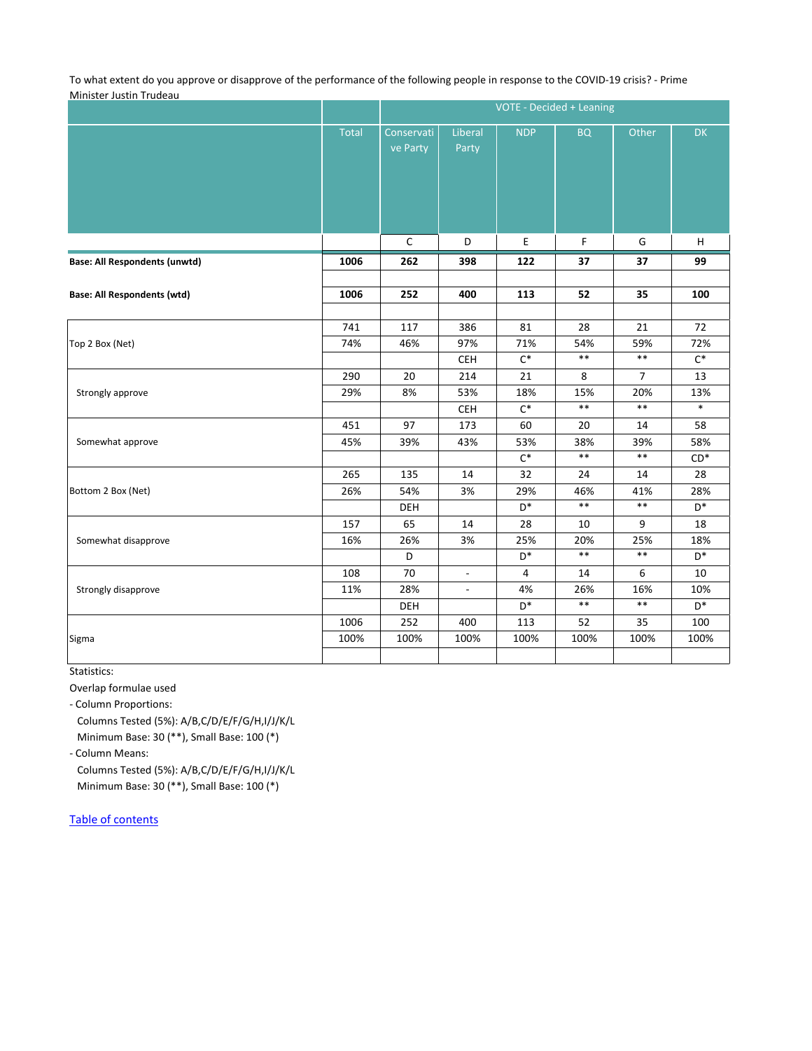To what extent do you approve or disapprove of the performance of the following people in response to the COVID-19 crisis? - Prime Minister Justin Trudeau

|                                      |              | VOTE - Decided + Leaning |                                  |                             |                    |                                |                                 |  |
|--------------------------------------|--------------|--------------------------|----------------------------------|-----------------------------|--------------------|--------------------------------|---------------------------------|--|
|                                      | <b>Total</b> | Conservati<br>ve Party   | Liberal<br>Party                 | <b>NDP</b>                  | <b>BQ</b>          | Other                          | <b>DK</b>                       |  |
|                                      |              | $\mathsf C$              | D                                | Е                           | F                  | G                              | $\boldsymbol{\mathsf{H}}$       |  |
| <b>Base: All Respondents (unwtd)</b> | 1006         | 262                      | 398                              | 122                         | 37                 | 37                             | 99                              |  |
| <b>Base: All Respondents (wtd)</b>   | 1006         | 252                      | 400                              | 113                         | 52                 | 35                             | 100                             |  |
| Top 2 Box (Net)                      | 741<br>74%   | 117<br>46%               | 386<br>97%<br>CEH                | 81<br>71%<br>$C^*$          | 28<br>54%<br>$***$ | 21<br>59%<br>$\ast\ast$        | 72<br>72%<br>$C^*$              |  |
| Strongly approve                     | 290<br>29%   | 20<br>8%                 | 214<br>53%<br>CEH                | 21<br>18%<br>$C^*$          | 8<br>15%<br>$***$  | $\overline{7}$<br>20%<br>$***$ | 13<br>13%<br>$\ast$             |  |
| Somewhat approve                     | 451<br>45%   | 97<br>39%                | 173<br>43%                       | 60<br>53%<br>$C^*$          | 20<br>38%<br>$***$ | 14<br>39%<br>$\ast\ast$        | 58<br>58%<br>$CD*$              |  |
| Bottom 2 Box (Net)                   | 265<br>26%   | 135<br>54%<br>DEH        | 14<br>3%                         | 32<br>29%<br>$\mathsf{D}^*$ | 24<br>46%<br>$***$ | 14<br>41%<br>$***$             | 28<br>28%<br>$D^*$              |  |
| Somewhat disapprove                  | 157<br>16%   | 65<br>26%<br>$\mathsf D$ | 14<br>3%                         | 28<br>25%<br>$\mathsf{D}^*$ | 10<br>20%<br>$***$ | 9<br>25%<br>$\ast\ast$         | 18<br>18%<br>$\mathsf{D}^*$     |  |
| Strongly disapprove                  | 108<br>11%   | 70<br>28%<br>DEH         | $\overline{a}$<br>$\blacksquare$ | 4<br>4%<br>$\mathsf{D}^*$   | 14<br>26%<br>$***$ | 6<br>16%<br>$\ast\ast$         | $10\,$<br>10%<br>$\mathsf{D}^*$ |  |
| Sigma                                | 1006<br>100% | 252<br>100%              | 400<br>100%                      | 113<br>100%                 | 52<br>100%         | 35<br>100%                     | 100<br>100%                     |  |

Statistics:

Overlap formulae used

- Column Proportions:

 Columns Tested (5%): A/B,C/D/E/F/G/H,I/J/K/L Minimum Base: 30 (\*\*), Small Base: 100 (\*)

- Column Means:

 Columns Tested (5%): A/B,C/D/E/F/G/H,I/J/K/L Minimum Base: 30 (\*\*), Small Base: 100 (\*)

Table of contents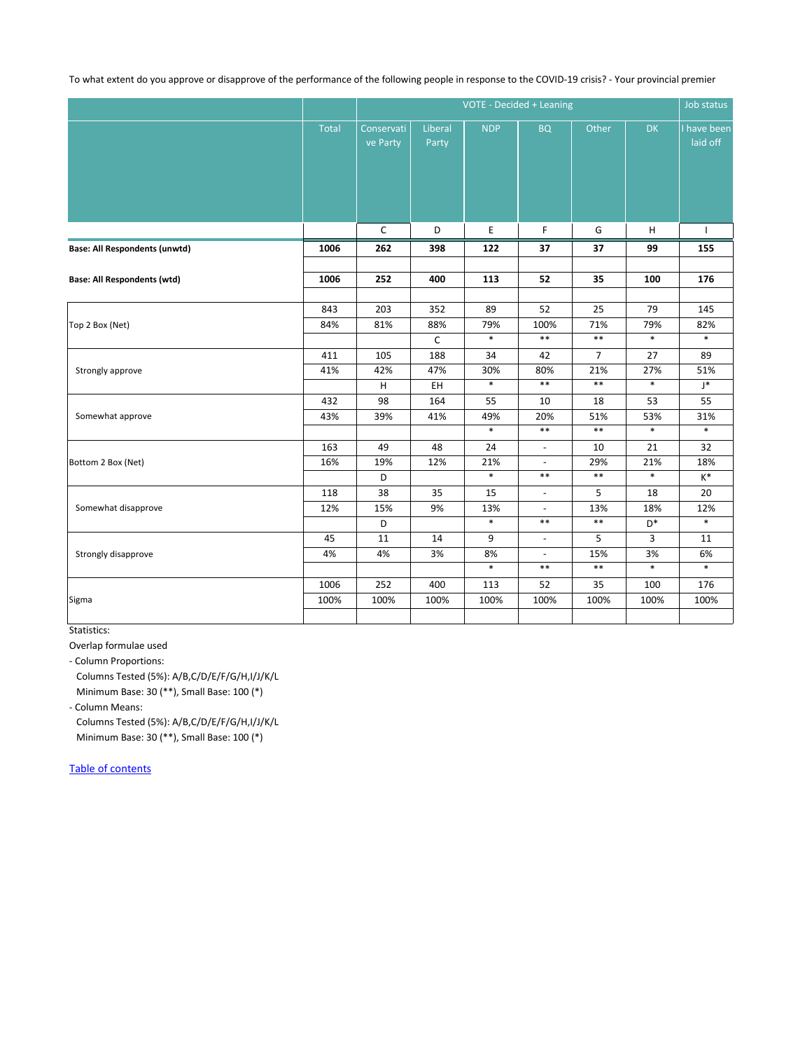To what extent do you approve or disapprove of the performance of the following people in response to the COVID-19 crisis? - Your provincial premier

|                                      |              | VOTE - Decided + Leaning |                  |            |                |                |                |                         |
|--------------------------------------|--------------|--------------------------|------------------|------------|----------------|----------------|----------------|-------------------------|
|                                      | <b>Total</b> | Conservati<br>ve Party   | Liberal<br>Party | <b>NDP</b> | <b>BQ</b>      | Other          | DK             | I have been<br>laid off |
|                                      |              | $\mathsf C$              | D                | E,         | F              | G              | н              | $\mathbf{I}$            |
| <b>Base: All Respondents (unwtd)</b> | 1006         | 262                      | 398              | 122        | 37             | 37             | 99             | 155                     |
|                                      |              |                          |                  |            |                |                |                |                         |
| <b>Base: All Respondents (wtd)</b>   | 1006         | 252                      | 400              | 113        | 52             | 35             | 100            | 176                     |
|                                      |              |                          |                  |            |                |                |                |                         |
| Top 2 Box (Net)                      | 843          | 203                      | 352              | 89         | 52             | 25             | 79             | 145                     |
|                                      | 84%          | 81%                      | 88%              | 79%        | 100%           | 71%            | 79%            | 82%                     |
|                                      |              |                          | $\mathsf C$      | $\ast$     | $\ast\ast$     | $***$          | $\ast$         | $\ast$                  |
| Strongly approve                     | 411          | 105                      | 188              | 34         | 42             | $\overline{7}$ | 27             | 89                      |
|                                      | 41%          | 42%                      | 47%              | 30%        | 80%            | 21%            | 27%            | 51%                     |
|                                      |              | H                        | EH               | $\ast$     | $\ast\ast$     | $***$          | $\ast$         | $\mathsf{J}^*$          |
| Somewhat approve                     | 432          | 98                       | 164              | 55         | 10             | 18             | 53             | 55                      |
|                                      | 43%          | 39%                      | 41%              | 49%        | 20%            | 51%            | 53%            | 31%                     |
|                                      |              |                          |                  | $\ast$     | $***$          | $***$          | $\ast$         | $\ast$                  |
| Bottom 2 Box (Net)                   | 163          | 49                       | 48               | 24         | $\blacksquare$ | 10             | 21             | 32                      |
|                                      | 16%          | 19%                      | 12%              | 21%        | $\Box$         | 29%            | 21%            | 18%                     |
|                                      |              | $\mathsf D$              |                  | $\ast$     | $***$          | $***$          | $\ast$         | $\mathsf{K}^*$          |
| Somewhat disapprove                  | 118          | 38                       | 35               | 15         | $\blacksquare$ | 5              | 18             | 20                      |
|                                      | 12%          | 15%                      | 9%               | 13%        | $\frac{1}{2}$  | 13%            | 18%            | 12%                     |
|                                      |              | $\mathsf D$              |                  | $\ast$     | $***$          | $***$          | $\mathsf{D}^*$ | $\ast$                  |
| Strongly disapprove                  | 45           | $11\,$                   | 14               | 9          | $\blacksquare$ | 5              | 3              | 11                      |
|                                      | 4%           | 4%                       | 3%               | 8%         | $\blacksquare$ | 15%            | 3%             | 6%                      |
|                                      |              |                          |                  | $\ast$     | $***$          | $\ast\ast$     | $\ast$         | $\ast$                  |
|                                      | 1006         | 252                      | 400              | 113        | 52             | 35             | 100            | 176                     |
| Sigma                                | 100%         | 100%                     | 100%             | 100%       | 100%           | 100%           | 100%           | 100%                    |
|                                      |              |                          |                  |            |                |                |                |                         |

Statistics:

Overlap formulae used

- Column Proportions:

 Columns Tested (5%): A/B,C/D/E/F/G/H,I/J/K/L Minimum Base: 30 (\*\*), Small Base: 100 (\*)

- Column Means:

 Columns Tested (5%): A/B,C/D/E/F/G/H,I/J/K/L Minimum Base: 30 (\*\*), Small Base: 100 (\*)

Table of contents